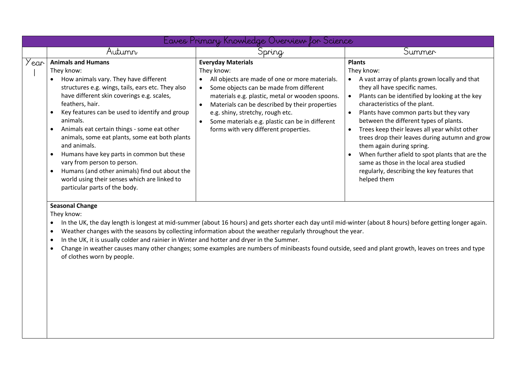|      | Laves Primary Knowledge Overview for Science                                                                                                                                                                                                                                                                                                                                                                                                                                                                                                                                                                                               |                                                                                                                                                                                                                                                                                                                                                                           |                                                                                                                                                                                                                                                                                                                                                                                                                                                                                                                                                                                  |  |
|------|--------------------------------------------------------------------------------------------------------------------------------------------------------------------------------------------------------------------------------------------------------------------------------------------------------------------------------------------------------------------------------------------------------------------------------------------------------------------------------------------------------------------------------------------------------------------------------------------------------------------------------------------|---------------------------------------------------------------------------------------------------------------------------------------------------------------------------------------------------------------------------------------------------------------------------------------------------------------------------------------------------------------------------|----------------------------------------------------------------------------------------------------------------------------------------------------------------------------------------------------------------------------------------------------------------------------------------------------------------------------------------------------------------------------------------------------------------------------------------------------------------------------------------------------------------------------------------------------------------------------------|--|
|      | Autumn                                                                                                                                                                                                                                                                                                                                                                                                                                                                                                                                                                                                                                     | <b>Spring</b>                                                                                                                                                                                                                                                                                                                                                             | Summer                                                                                                                                                                                                                                                                                                                                                                                                                                                                                                                                                                           |  |
| 'ear | <b>Animals and Humans</b><br>They know:<br>How animals vary. They have different<br>structures e.g. wings, tails, ears etc. They also<br>have different skin coverings e.g. scales,<br>feathers, hair.<br>Key features can be used to identify and group<br>$\bullet$<br>animals.<br>Animals eat certain things - some eat other<br>animals, some eat plants, some eat both plants<br>and animals.<br>Humans have key parts in common but these<br>$\bullet$<br>vary from person to person.<br>Humans (and other animals) find out about the<br>$\bullet$<br>world using their senses which are linked to<br>particular parts of the body. | <b>Everyday Materials</b><br>They know:<br>All objects are made of one or more materials.<br>Some objects can be made from different<br>materials e.g. plastic, metal or wooden spoons.<br>Materials can be described by their properties<br>e.g. shiny, stretchy, rough etc.<br>Some materials e.g. plastic can be in different<br>forms with very different properties. | <b>Plants</b><br>They know:<br>A vast array of plants grown locally and that<br>they all have specific names.<br>Plants can be identified by looking at the key<br>characteristics of the plant.<br>Plants have common parts but they vary<br>between the different types of plants.<br>Trees keep their leaves all year whilst other<br>trees drop their leaves during autumn and grow<br>them again during spring.<br>When further afield to spot plants that are the<br>same as those in the local area studied<br>regularly, describing the key features that<br>helped them |  |

## **Seasonal Change**

They know:

- In the UK, the day length is longest at mid-summer (about 16 hours) and gets shorter each day until mid-winter (about 8 hours) before getting longer again.
- Weather changes with the seasons by collecting information about the weather regularly throughout the year.
- In the UK, it is usually colder and rainier in Winter and hotter and dryer in the Summer.
- Change in weather causes many other changes; some examples are numbers of minibeasts found outside, seed and plant growth, leaves on trees and type of clothes worn by people.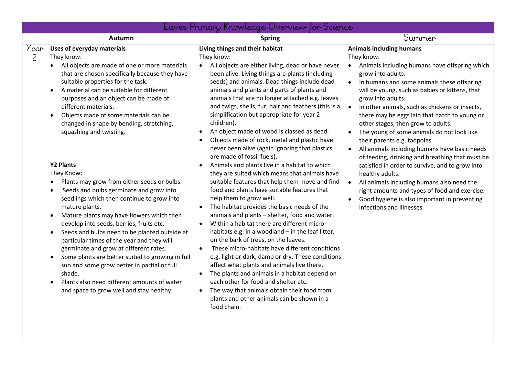|           |                                                                                                                                                                                                                                                                                                                                                                                                                                                                                                                                                                                                                                                                                                                                                                                                                                                                                                                                                                                                                                                                                                                                                       | Eaves Primary Knowledge Overview for Science                                                                                                                                                                                                                                                                                                                                                                                                                                                                                                                                                                                                                                                                                                                                                                                                                                                                                                                                                                                                                                                                                                                                                                                                                                                                                                                                                                                                                                                                                                                     |                                                                                                                                                                                                                                                                                                                                                                                                                                                                                                                                                                                                                                                                                                                                                                                                                                                                                                     |
|-----------|-------------------------------------------------------------------------------------------------------------------------------------------------------------------------------------------------------------------------------------------------------------------------------------------------------------------------------------------------------------------------------------------------------------------------------------------------------------------------------------------------------------------------------------------------------------------------------------------------------------------------------------------------------------------------------------------------------------------------------------------------------------------------------------------------------------------------------------------------------------------------------------------------------------------------------------------------------------------------------------------------------------------------------------------------------------------------------------------------------------------------------------------------------|------------------------------------------------------------------------------------------------------------------------------------------------------------------------------------------------------------------------------------------------------------------------------------------------------------------------------------------------------------------------------------------------------------------------------------------------------------------------------------------------------------------------------------------------------------------------------------------------------------------------------------------------------------------------------------------------------------------------------------------------------------------------------------------------------------------------------------------------------------------------------------------------------------------------------------------------------------------------------------------------------------------------------------------------------------------------------------------------------------------------------------------------------------------------------------------------------------------------------------------------------------------------------------------------------------------------------------------------------------------------------------------------------------------------------------------------------------------------------------------------------------------------------------------------------------------|-----------------------------------------------------------------------------------------------------------------------------------------------------------------------------------------------------------------------------------------------------------------------------------------------------------------------------------------------------------------------------------------------------------------------------------------------------------------------------------------------------------------------------------------------------------------------------------------------------------------------------------------------------------------------------------------------------------------------------------------------------------------------------------------------------------------------------------------------------------------------------------------------------|
|           | Autumn                                                                                                                                                                                                                                                                                                                                                                                                                                                                                                                                                                                                                                                                                                                                                                                                                                                                                                                                                                                                                                                                                                                                                | <b>Spring</b>                                                                                                                                                                                                                                                                                                                                                                                                                                                                                                                                                                                                                                                                                                                                                                                                                                                                                                                                                                                                                                                                                                                                                                                                                                                                                                                                                                                                                                                                                                                                                    | Summer                                                                                                                                                                                                                                                                                                                                                                                                                                                                                                                                                                                                                                                                                                                                                                                                                                                                                              |
| Year<br>2 | <b>Uses of everyday materials</b><br>They know:<br>All objects are made of one or more materials<br>that are chosen specifically because they have<br>suitable properties for the task.<br>A material can be suitable for different<br>$\bullet$<br>purposes and an object can be made of<br>different materials.<br>Objects made of some materials can be<br>$\bullet$<br>changed in shape by bending, stretching,<br>squashing and twisting.<br><b>Y2 Plants</b><br>They Know:<br>Plants may grow from either seeds or bulbs.<br>$\bullet$<br>Seeds and bulbs germinate and grow into<br>$\bullet$<br>seedlings which then continue to grow into<br>mature plants.<br>Mature plants may have flowers which then<br>$\bullet$<br>develop into seeds, berries, fruits etc.<br>Seeds and bulbs need to be planted outside at<br>$\bullet$<br>particular times of the year and they will<br>germinate and grow at different rates.<br>Some plants are better suited to growing in full<br>$\bullet$<br>sun and some grow better in partial or full<br>shade.<br>Plants also need different amounts of water<br>and space to grow well and stay healthy. | Living things and their habitat<br>They know:<br>All objects are either living, dead or have never<br>$\bullet$<br>been alive. Living things are plants (including<br>seeds) and animals. Dead things include dead<br>animals and plants and parts of plants and<br>animals that are no longer attached e.g. leaves<br>and twigs, shells, fur, hair and feathers (this is a<br>simplification but appropriate for year 2<br>children).<br>An object made of wood is classed as dead.<br>$\bullet$<br>Objects made of rock, metal and plastic have<br>$\bullet$<br>never been alive (again ignoring that plastics<br>are made of fossil fuels).<br>Animals and plants live in a habitat to which<br>$\bullet$<br>they are suited which means that animals have<br>suitable features that help them move and find<br>food and plants have suitable features that<br>help them to grow well.<br>The habitat provides the basic needs of the<br>$\bullet$<br>animals and plants - shelter, food and water.<br>Within a habitat there are different micro-<br>$\bullet$<br>habitats e.g. in a woodland - in the leaf litter,<br>on the bark of trees, on the leaves.<br>These micro-habitats have different conditions<br>$\bullet$<br>e.g. light or dark, damp or dry. These conditions<br>affect what plants and animals live there.<br>The plants and animals in a habitat depend on<br>$\bullet$<br>each other for food and shelter etc.<br>The way that animals obtain their food from<br>$\bullet$<br>plants and other animals can be shown in a<br>food chain. | <b>Animals including humans</b><br>They know:<br>Animals including humans have offspring which<br>$\bullet$<br>grow into adults.<br>In humans and some animals these offspring<br>$\bullet$<br>will be young, such as babies or kittens, that<br>grow into adults.<br>In other animals, such as chickens or insects,<br>$\bullet$<br>there may be eggs laid that hatch to young or<br>other stages, then grow to adults.<br>The young of some animals do not look like<br>their parents e.g. tadpoles.<br>All animals including humans have basic needs<br>$\bullet$<br>of feeding, drinking and breathing that must be<br>satisfied in order to survive, and to grow into<br>healthy adults.<br>All animals including humans also need the<br>$\bullet$<br>right amounts and types of food and exercise.<br>Good hygiene is also important in preventing<br>$\bullet$<br>infections and illnesses. |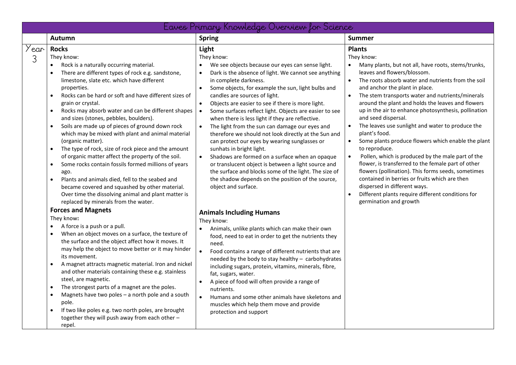|           | Eaves Primary Knowledge Overview for Science                                                                                                                                                                                                                                                                                                                                                                                                                                                                                                                                                                                                                                                                                                                                                                                                                                                                                                                                                                                                                                                                                                                                                                                                                                                                                                                                                                                                                                                                                                                                                                                                                                           |                                                                                                                                                                                                                                                                                                                                                                                                                                                                                                                                                                                                                                                                                                                                                                                                                                                                                                                                                                                                                                                                                                                                                                                                                                                                                                                                                                                                                                                                                                                              |                                                                                                                                                                                                                                                                                                                                                                                                                                                                                                                                                                                                                                                                                                                                                                                                                                                                                                                                                              |
|-----------|----------------------------------------------------------------------------------------------------------------------------------------------------------------------------------------------------------------------------------------------------------------------------------------------------------------------------------------------------------------------------------------------------------------------------------------------------------------------------------------------------------------------------------------------------------------------------------------------------------------------------------------------------------------------------------------------------------------------------------------------------------------------------------------------------------------------------------------------------------------------------------------------------------------------------------------------------------------------------------------------------------------------------------------------------------------------------------------------------------------------------------------------------------------------------------------------------------------------------------------------------------------------------------------------------------------------------------------------------------------------------------------------------------------------------------------------------------------------------------------------------------------------------------------------------------------------------------------------------------------------------------------------------------------------------------------|------------------------------------------------------------------------------------------------------------------------------------------------------------------------------------------------------------------------------------------------------------------------------------------------------------------------------------------------------------------------------------------------------------------------------------------------------------------------------------------------------------------------------------------------------------------------------------------------------------------------------------------------------------------------------------------------------------------------------------------------------------------------------------------------------------------------------------------------------------------------------------------------------------------------------------------------------------------------------------------------------------------------------------------------------------------------------------------------------------------------------------------------------------------------------------------------------------------------------------------------------------------------------------------------------------------------------------------------------------------------------------------------------------------------------------------------------------------------------------------------------------------------------|--------------------------------------------------------------------------------------------------------------------------------------------------------------------------------------------------------------------------------------------------------------------------------------------------------------------------------------------------------------------------------------------------------------------------------------------------------------------------------------------------------------------------------------------------------------------------------------------------------------------------------------------------------------------------------------------------------------------------------------------------------------------------------------------------------------------------------------------------------------------------------------------------------------------------------------------------------------|
|           | <b>Autumn</b>                                                                                                                                                                                                                                                                                                                                                                                                                                                                                                                                                                                                                                                                                                                                                                                                                                                                                                                                                                                                                                                                                                                                                                                                                                                                                                                                                                                                                                                                                                                                                                                                                                                                          | <b>Spring</b>                                                                                                                                                                                                                                                                                                                                                                                                                                                                                                                                                                                                                                                                                                                                                                                                                                                                                                                                                                                                                                                                                                                                                                                                                                                                                                                                                                                                                                                                                                                | <b>Summer</b>                                                                                                                                                                                                                                                                                                                                                                                                                                                                                                                                                                                                                                                                                                                                                                                                                                                                                                                                                |
| Year<br>3 | <b>Rocks</b><br>They know:<br>Rock is a naturally occurring material.<br>There are different types of rock e.g. sandstone,<br>limestone, slate etc. which have different<br>properties.<br>Rocks can be hard or soft and have different sizes of<br>$\bullet$<br>grain or crystal.<br>Rocks may absorb water and can be different shapes<br>$\bullet$<br>and sizes (stones, pebbles, boulders).<br>Soils are made up of pieces of ground down rock<br>$\bullet$<br>which may be mixed with plant and animal material<br>(organic matter).<br>The type of rock, size of rock piece and the amount<br>$\bullet$<br>of organic matter affect the property of the soil.<br>Some rocks contain fossils formed millions of years<br>$\bullet$<br>ago.<br>Plants and animals died, fell to the seabed and<br>$\bullet$<br>became covered and squashed by other material.<br>Over time the dissolving animal and plant matter is<br>replaced by minerals from the water.<br><b>Forces and Magnets</b><br>They know:<br>A force is a push or a pull.<br>$\bullet$<br>When an object moves on a surface, the texture of<br>$\bullet$<br>the surface and the object affect how it moves. It<br>may help the object to move better or it may hinder<br>its movement.<br>A magnet attracts magnetic material. Iron and nickel<br>$\bullet$<br>and other materials containing these e.g. stainless<br>steel, are magnetic.<br>The strongest parts of a magnet are the poles.<br>$\bullet$<br>Magnets have two poles - a north pole and a south<br>$\bullet$<br>pole.<br>If two like poles e.g. two north poles, are brought<br>$\bullet$<br>together they will push away from each other -<br>repel. | Light<br>They know:<br>We see objects because our eyes can sense light.<br>Dark is the absence of light. We cannot see anything<br>$\bullet$<br>in complete darkness.<br>Some objects, for example the sun, light bulbs and<br>candles are sources of light.<br>$\bullet$<br>Objects are easier to see if there is more light.<br>Some surfaces reflect light. Objects are easier to see<br>$\bullet$<br>when there is less light if they are reflective.<br>$\bullet$<br>The light from the sun can damage our eyes and<br>therefore we should not look directly at the Sun and<br>can protect our eyes by wearing sunglasses or<br>sunhats in bright light.<br>Shadows are formed on a surface when an opaque<br>$\bullet$<br>or translucent object is between a light source and<br>the surface and blocks some of the light. The size of<br>the shadow depends on the position of the source,<br>object and surface.<br><b>Animals Including Humans</b><br>They know:<br>Animals, unlike plants which can make their own<br>food, need to eat in order to get the nutrients they<br>need.<br>$\bullet$<br>Food contains a range of different nutrients that are<br>needed by the body to stay healthy - carbohydrates<br>including sugars, protein, vitamins, minerals, fibre,<br>fat, sugars, water.<br>A piece of food will often provide a range of<br>$\bullet$<br>nutrients.<br>Humans and some other animals have skeletons and<br>$\bullet$<br>muscles which help them move and provide<br>protection and support | <b>Plants</b><br>They know:<br>Many plants, but not all, have roots, stems/trunks,<br>leaves and flowers/blossom.<br>The roots absorb water and nutrients from the soil<br>$\bullet$<br>and anchor the plant in place.<br>$\bullet$<br>The stem transports water and nutrients/minerals<br>around the plant and holds the leaves and flowers<br>up in the air to enhance photosynthesis, pollination<br>and seed dispersal.<br>The leaves use sunlight and water to produce the<br>$\bullet$<br>plant's food.<br>Some plants produce flowers which enable the plant<br>$\bullet$<br>to reproduce.<br>Pollen, which is produced by the male part of the<br>$\bullet$<br>flower, is transferred to the female part of other<br>flowers (pollination). This forms seeds, sometimes<br>contained in berries or fruits which are then<br>dispersed in different ways.<br>Different plants require different conditions for<br>$\bullet$<br>germination and growth |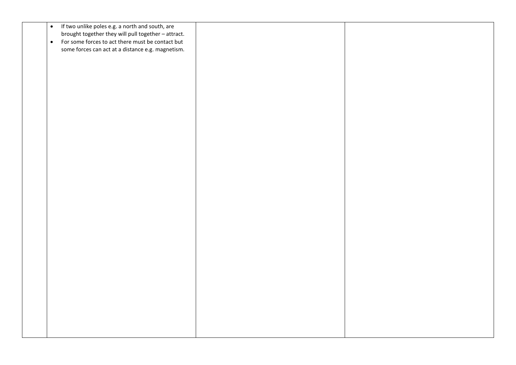| $\bullet$ | If two unlike poles e.g. a north and south, are     |  |
|-----------|-----------------------------------------------------|--|
|           |                                                     |  |
|           | brought together they will pull together - attract. |  |
| $\bullet$ | For some forces to act there must be contact but    |  |
|           |                                                     |  |
|           | some forces can act at a distance e.g. magnetism.   |  |
|           |                                                     |  |
|           |                                                     |  |
|           |                                                     |  |
|           |                                                     |  |
|           |                                                     |  |
|           |                                                     |  |
|           |                                                     |  |
|           |                                                     |  |
|           |                                                     |  |
|           |                                                     |  |
|           |                                                     |  |
|           |                                                     |  |
|           |                                                     |  |
|           |                                                     |  |
|           |                                                     |  |
|           |                                                     |  |
|           |                                                     |  |
|           |                                                     |  |
|           |                                                     |  |
|           |                                                     |  |
|           |                                                     |  |
|           |                                                     |  |
|           |                                                     |  |
|           |                                                     |  |
|           |                                                     |  |
|           |                                                     |  |
|           |                                                     |  |
|           |                                                     |  |
|           |                                                     |  |
|           |                                                     |  |
|           |                                                     |  |
|           |                                                     |  |
|           |                                                     |  |
|           |                                                     |  |
|           |                                                     |  |
|           |                                                     |  |
|           |                                                     |  |
|           |                                                     |  |
|           |                                                     |  |
|           |                                                     |  |
|           |                                                     |  |
|           |                                                     |  |
|           |                                                     |  |
|           |                                                     |  |
|           |                                                     |  |
|           |                                                     |  |
|           |                                                     |  |
|           |                                                     |  |
|           |                                                     |  |
|           |                                                     |  |
|           |                                                     |  |
|           |                                                     |  |
|           |                                                     |  |
|           |                                                     |  |
|           |                                                     |  |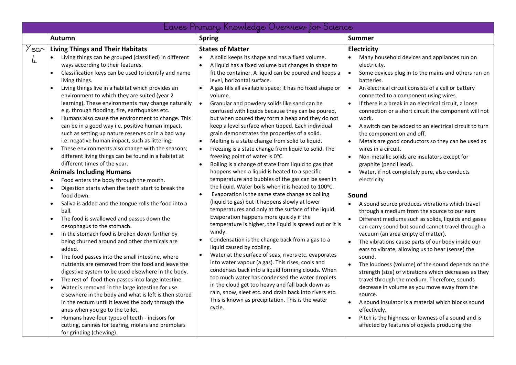| Eaves Primary Knowledge Overview for Science                                                                                                                                                                                                                                                                                                                                                                                                                                                                                                                                                                                                                                                                                                                                                                                                                                                                                                                                                                                                                                                                                                                                                                                                                                                                                                                                                                                                                                                                                                                                                                                                                                                                                                                                                                                                                                                                                                                      |                                                                                                                                                                                                                                                                                                                                                                                                                                                                                                                                                                                                                                                                                                                                                                                                                                                                                                                                                                                                                                                                                                                                                                                                                                                                                                                                                                                                                                                                                                                                                                                                                                                                                                                                                                                                                       |                                                                                                                                                                                                                                                                                                                                                                                                                                                                                                                                                                                                                                                                                                                                                                                                                                                                                                                                                                                                                                                                                                                                                                                                                                                                                                                                                                                                                                                                                                                                                                                                                                            |  |
|-------------------------------------------------------------------------------------------------------------------------------------------------------------------------------------------------------------------------------------------------------------------------------------------------------------------------------------------------------------------------------------------------------------------------------------------------------------------------------------------------------------------------------------------------------------------------------------------------------------------------------------------------------------------------------------------------------------------------------------------------------------------------------------------------------------------------------------------------------------------------------------------------------------------------------------------------------------------------------------------------------------------------------------------------------------------------------------------------------------------------------------------------------------------------------------------------------------------------------------------------------------------------------------------------------------------------------------------------------------------------------------------------------------------------------------------------------------------------------------------------------------------------------------------------------------------------------------------------------------------------------------------------------------------------------------------------------------------------------------------------------------------------------------------------------------------------------------------------------------------------------------------------------------------------------------------------------------------|-----------------------------------------------------------------------------------------------------------------------------------------------------------------------------------------------------------------------------------------------------------------------------------------------------------------------------------------------------------------------------------------------------------------------------------------------------------------------------------------------------------------------------------------------------------------------------------------------------------------------------------------------------------------------------------------------------------------------------------------------------------------------------------------------------------------------------------------------------------------------------------------------------------------------------------------------------------------------------------------------------------------------------------------------------------------------------------------------------------------------------------------------------------------------------------------------------------------------------------------------------------------------------------------------------------------------------------------------------------------------------------------------------------------------------------------------------------------------------------------------------------------------------------------------------------------------------------------------------------------------------------------------------------------------------------------------------------------------------------------------------------------------------------------------------------------------|--------------------------------------------------------------------------------------------------------------------------------------------------------------------------------------------------------------------------------------------------------------------------------------------------------------------------------------------------------------------------------------------------------------------------------------------------------------------------------------------------------------------------------------------------------------------------------------------------------------------------------------------------------------------------------------------------------------------------------------------------------------------------------------------------------------------------------------------------------------------------------------------------------------------------------------------------------------------------------------------------------------------------------------------------------------------------------------------------------------------------------------------------------------------------------------------------------------------------------------------------------------------------------------------------------------------------------------------------------------------------------------------------------------------------------------------------------------------------------------------------------------------------------------------------------------------------------------------------------------------------------------------|--|
| <b>Autumn</b>                                                                                                                                                                                                                                                                                                                                                                                                                                                                                                                                                                                                                                                                                                                                                                                                                                                                                                                                                                                                                                                                                                                                                                                                                                                                                                                                                                                                                                                                                                                                                                                                                                                                                                                                                                                                                                                                                                                                                     | <b>Spring</b>                                                                                                                                                                                                                                                                                                                                                                                                                                                                                                                                                                                                                                                                                                                                                                                                                                                                                                                                                                                                                                                                                                                                                                                                                                                                                                                                                                                                                                                                                                                                                                                                                                                                                                                                                                                                         | <b>Summer</b>                                                                                                                                                                                                                                                                                                                                                                                                                                                                                                                                                                                                                                                                                                                                                                                                                                                                                                                                                                                                                                                                                                                                                                                                                                                                                                                                                                                                                                                                                                                                                                                                                              |  |
| <b>Living Things and Their Habitats</b><br>'ear<br>Living things can be grouped (classified) in different<br>$\bullet$<br>4<br>ways according to their features.<br>Classification keys can be used to identify and name<br>$\bullet$<br>living things.<br>Living things live in a habitat which provides an<br>$\bullet$<br>environment to which they are suited (year 2<br>learning). These environments may change naturally<br>e.g. through flooding, fire, earthquakes etc.<br>Humans also cause the environment to change. This<br>$\bullet$<br>can be in a good way i.e. positive human impact,<br>such as setting up nature reserves or in a bad way<br>i.e. negative human impact, such as littering.<br>These environments also change with the seasons;<br>$\bullet$<br>different living things can be found in a habitat at<br>different times of the year.<br><b>Animals Including Humans</b><br>Food enters the body through the mouth.<br>$\bullet$<br>Digestion starts when the teeth start to break the<br>$\bullet$<br>food down.<br>Saliva is added and the tongue rolls the food into a<br>$\bullet$<br>ball.<br>The food is swallowed and passes down the<br>$\bullet$<br>oesophagus to the stomach.<br>In the stomach food is broken down further by<br>$\bullet$<br>being churned around and other chemicals are<br>added.<br>The food passes into the small intestine, where<br>$\bullet$<br>nutrients are removed from the food and leave the<br>digestive system to be used elsewhere in the body.<br>The rest of food then passes into large intestine.<br>$\bullet$<br>Water is removed in the large intestine for use<br>$\bullet$<br>elsewhere in the body and what is left is then stored<br>in the rectum until it leaves the body through the<br>anus when you go to the toilet.<br>Humans have four types of teeth - incisors for<br>$\bullet$<br>cutting, canines for tearing, molars and premolars<br>for grinding (chewing). | <b>States of Matter</b><br>A solid keeps its shape and has a fixed volume.<br>$\bullet$<br>A liquid has a fixed volume but changes in shape to<br>$\bullet$<br>fit the container. A liquid can be poured and keeps a<br>level, horizontal surface.<br>A gas fills all available space; it has no fixed shape or<br>$\bullet$<br>volume.<br>Granular and powdery solids like sand can be<br>$\bullet$<br>confused with liquids because they can be poured,<br>but when poured they form a heap and they do not<br>keep a level surface when tipped. Each individual<br>grain demonstrates the properties of a solid.<br>Melting is a state change from solid to liquid.<br>$\bullet$<br>Freezing is a state change from liquid to solid. The<br>$\bullet$<br>freezing point of water is 0°C.<br>Boiling is a change of state from liquid to gas that<br>$\bullet$<br>happens when a liquid is heated to a specific<br>temperature and bubbles of the gas can be seen in<br>the liquid. Water boils when it is heated to 100°C.<br>Evaporation is the same state change as boiling<br>$\bullet$<br>(liquid to gas) but it happens slowly at lower<br>temperatures and only at the surface of the liquid.<br>Evaporation happens more quickly if the<br>temperature is higher, the liquid is spread out or it is<br>windy.<br>Condensation is the change back from a gas to a<br>liquid caused by cooling.<br>Water at the surface of seas, rivers etc. evaporates<br>$\bullet$<br>into water vapour (a gas). This rises, cools and<br>condenses back into a liquid forming clouds. When<br>too much water has condensed the water droplets<br>in the cloud get too heavy and fall back down as<br>rain, snow, sleet etc. and drain back into rivers etc.<br>This is known as precipitation. This is the water<br>cycle. | Electricity<br>Many household devices and appliances run on<br>electricity.<br>$\bullet$<br>Some devices plug in to the mains and others run on<br>batteries.<br>$\bullet$<br>An electrical circuit consists of a cell or battery<br>connected to a component using wires.<br>If there is a break in an electrical circuit, a loose<br>$\bullet$<br>connection or a short circuit the component will not<br>work.<br>$\bullet$<br>A switch can be added to an electrical circuit to turn<br>the component on and off.<br>Metals are good conductors so they can be used as<br>$\bullet$<br>wires in a circuit.<br>Non-metallic solids are insulators except for<br>$\bullet$<br>graphite (pencil lead).<br>Water, if not completely pure, also conducts<br>$\bullet$<br>electricity<br>Sound<br>A sound source produces vibrations which travel<br>$\bullet$<br>through a medium from the source to our ears<br>Different mediums such as solids, liquids and gases<br>$\bullet$<br>can carry sound but sound cannot travel through a<br>vacuum (an area empty of matter).<br>The vibrations cause parts of our body inside our<br>$\bullet$<br>ears to vibrate, allowing us to hear (sense) the<br>sound.<br>$\bullet$<br>The loudness (volume) of the sound depends on the<br>strength (size) of vibrations which decreases as they<br>travel through the medium. Therefore, sounds<br>decrease in volume as you move away from the<br>source.<br>$\bullet$<br>A sound insulator is a material which blocks sound<br>effectively.<br>Pitch is the highness or lowness of a sound and is<br>affected by features of objects producing the |  |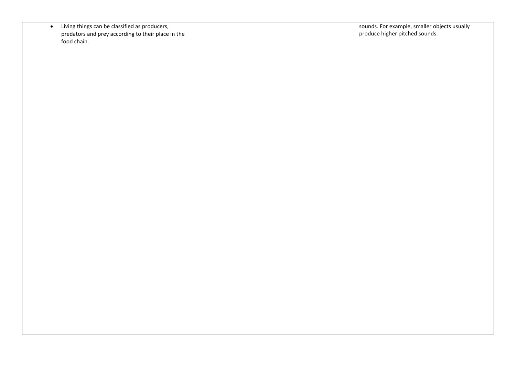| $\bullet$ | Living things can be classified as producers,      | sounds. For example, smaller objects usually |
|-----------|----------------------------------------------------|----------------------------------------------|
|           | predators and prey according to their place in the | produce higher pitched sounds.               |
|           | food chain.                                        |                                              |
|           |                                                    |                                              |
|           |                                                    |                                              |
|           |                                                    |                                              |
|           |                                                    |                                              |
|           |                                                    |                                              |
|           |                                                    |                                              |
|           |                                                    |                                              |
|           |                                                    |                                              |
|           |                                                    |                                              |
|           |                                                    |                                              |
|           |                                                    |                                              |
|           |                                                    |                                              |
|           |                                                    |                                              |
|           |                                                    |                                              |
|           |                                                    |                                              |
|           |                                                    |                                              |
|           |                                                    |                                              |
|           |                                                    |                                              |
|           |                                                    |                                              |
|           |                                                    |                                              |
|           |                                                    |                                              |
|           |                                                    |                                              |
|           |                                                    |                                              |
|           |                                                    |                                              |
|           |                                                    |                                              |
|           |                                                    |                                              |
|           |                                                    |                                              |
|           |                                                    |                                              |
|           |                                                    |                                              |
|           |                                                    |                                              |
|           |                                                    |                                              |
|           |                                                    |                                              |
|           |                                                    |                                              |
|           |                                                    |                                              |
|           |                                                    |                                              |
|           |                                                    |                                              |
|           |                                                    |                                              |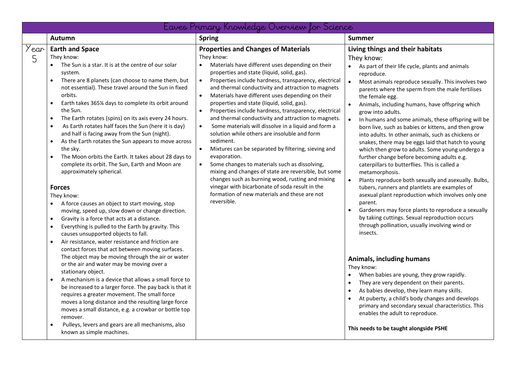|           | Eaves Primary Knowledge Overview for Science                                                                                                                                                                                                                                                                                                                                                                                                                                                                                                                                                                                                                                                                                                                                                                                                                                                                                                                                                                                                                                                                                                                                                                                                                                                                                                                                                                                                                                                                                                                                                                                                                                                                      |                                                                                                                                                                                                                                                                                                                                                                                                                                                                                                                                                                                                                                                                                                                                                                                                                                                                                                                                                                                                                                                    |                                                                                                                                                                                                                                                                                                                                                                                                                                                                                                                                                                                                                                                                                                                                                                                                                                                                                                                                                                                                                                                                                                                                                                                                                                                                                                                                                                                                                                                                                                   |
|-----------|-------------------------------------------------------------------------------------------------------------------------------------------------------------------------------------------------------------------------------------------------------------------------------------------------------------------------------------------------------------------------------------------------------------------------------------------------------------------------------------------------------------------------------------------------------------------------------------------------------------------------------------------------------------------------------------------------------------------------------------------------------------------------------------------------------------------------------------------------------------------------------------------------------------------------------------------------------------------------------------------------------------------------------------------------------------------------------------------------------------------------------------------------------------------------------------------------------------------------------------------------------------------------------------------------------------------------------------------------------------------------------------------------------------------------------------------------------------------------------------------------------------------------------------------------------------------------------------------------------------------------------------------------------------------------------------------------------------------|----------------------------------------------------------------------------------------------------------------------------------------------------------------------------------------------------------------------------------------------------------------------------------------------------------------------------------------------------------------------------------------------------------------------------------------------------------------------------------------------------------------------------------------------------------------------------------------------------------------------------------------------------------------------------------------------------------------------------------------------------------------------------------------------------------------------------------------------------------------------------------------------------------------------------------------------------------------------------------------------------------------------------------------------------|---------------------------------------------------------------------------------------------------------------------------------------------------------------------------------------------------------------------------------------------------------------------------------------------------------------------------------------------------------------------------------------------------------------------------------------------------------------------------------------------------------------------------------------------------------------------------------------------------------------------------------------------------------------------------------------------------------------------------------------------------------------------------------------------------------------------------------------------------------------------------------------------------------------------------------------------------------------------------------------------------------------------------------------------------------------------------------------------------------------------------------------------------------------------------------------------------------------------------------------------------------------------------------------------------------------------------------------------------------------------------------------------------------------------------------------------------------------------------------------------------|
|           | <b>Autumn</b>                                                                                                                                                                                                                                                                                                                                                                                                                                                                                                                                                                                                                                                                                                                                                                                                                                                                                                                                                                                                                                                                                                                                                                                                                                                                                                                                                                                                                                                                                                                                                                                                                                                                                                     | <b>Spring</b>                                                                                                                                                                                                                                                                                                                                                                                                                                                                                                                                                                                                                                                                                                                                                                                                                                                                                                                                                                                                                                      | <b>Summer</b>                                                                                                                                                                                                                                                                                                                                                                                                                                                                                                                                                                                                                                                                                                                                                                                                                                                                                                                                                                                                                                                                                                                                                                                                                                                                                                                                                                                                                                                                                     |
| Year<br>5 | <b>Earth and Space</b><br>They know:<br>The Sun is a star. It is at the centre of our solar<br>system.<br>There are 8 planets (can choose to name them, but<br>not essential). These travel around the Sun in fixed<br>orbits.<br>Earth takes 365¼ days to complete its orbit around<br>$\bullet$<br>the Sun.<br>The Earth rotates (spins) on its axis every 24 hours.<br>$\bullet$<br>As Earth rotates half faces the Sun (here it is day)<br>$\bullet$<br>and half is facing away from the Sun (night).<br>As the Earth rotates the Sun appears to move across<br>$\bullet$<br>the sky.<br>The Moon orbits the Earth. It takes about 28 days to<br>$\bullet$<br>complete its orbit. The Sun, Earth and Moon are<br>approximately spherical.<br><b>Forces</b><br>They know:<br>A force causes an object to start moving, stop<br>moving, speed up, slow down or change direction.<br>Gravity is a force that acts at a distance.<br>$\bullet$<br>Everything is pulled to the Earth by gravity. This<br>$\bullet$<br>causes unsupported objects to fall.<br>Air resistance, water resistance and friction are<br>$\bullet$<br>contact forces that act between moving surfaces.<br>The object may be moving through the air or water<br>or the air and water may be moving over a<br>stationary object.<br>A mechanism is a device that allows a small force to<br>$\bullet$<br>be increased to a larger force. The pay back is that it<br>requires a greater movement. The small force<br>moves a long distance and the resulting large force<br>moves a small distance, e.g. a crowbar or bottle top<br>remover.<br>Pulleys, levers and gears are all mechanisms, also<br>$\bullet$<br>known as simple machines. | <b>Properties and Changes of Materials</b><br>They know:<br>Materials have different uses depending on their<br>properties and state (liquid, solid, gas).<br>$\bullet$<br>Properties include hardness, transparency, electrical<br>and thermal conductivity and attraction to magnets<br>Materials have different uses depending on their<br>$\bullet$<br>properties and state (liquid, solid, gas).<br>$\bullet$<br>Properties include hardness, transparency, electrical<br>and thermal conductivity and attraction to magnets.<br>$\bullet$<br>Some materials will dissolve in a liquid and form a<br>solution while others are insoluble and form<br>sediment.<br>$\bullet$<br>Mixtures can be separated by filtering, sieving and<br>evaporation.<br>Some changes to materials such as dissolving,<br>$\bullet$<br>mixing and changes of state are reversible, but some<br>changes such as burning wood, rusting and mixing<br>vinegar with bicarbonate of soda result in the<br>formation of new materials and these are not<br>reversible. | Living things and their habitats<br>They know:<br>• As part of their life cycle, plants and animals<br>reproduce.<br>Most animals reproduce sexually. This involves two<br>parents where the sperm from the male fertilises<br>the female egg.<br>Animals, including humans, have offspring which<br>$\bullet$<br>grow into adults.<br>$\bullet$<br>In humans and some animals, these offspring will be<br>born live, such as babies or kittens, and then grow<br>into adults. In other animals, such as chickens or<br>snakes, there may be eggs laid that hatch to young<br>which then grow to adults. Some young undergo a<br>further change before becoming adults e.g.<br>caterpillars to butterflies. This is called a<br>metamorphosis.<br>Plants reproduce both sexually and asexually. Bulbs,<br>$\bullet$<br>tubers, runners and plantlets are examples of<br>asexual plant reproduction which involves only one<br>parent.<br>Gardeners may force plants to reproduce a sexually<br>$\bullet$<br>by taking cuttings. Sexual reproduction occurs<br>through pollination, usually involving wind or<br>insects.<br>Animals, including humans<br>They know:<br>When babies are young, they grow rapidly.<br>They are very dependent on their parents.<br>As babies develop, they learn many skills.<br>At puberty, a child's body changes and develops<br>primary and secondary sexual characteristics. This<br>enables the adult to reproduce.<br>This needs to be taught alongside PSHE |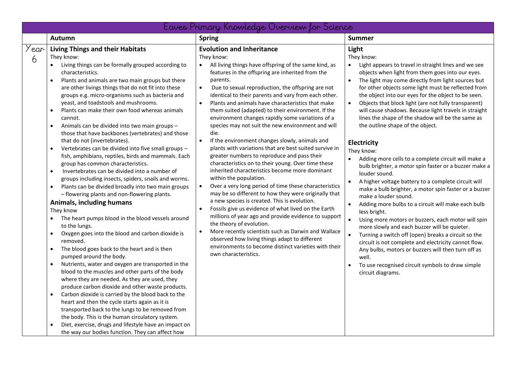|           |                                                                                                                                                                                                                                                                                                                                                                                                                                                                                                                                                                                                                                                                                                                                                                                                                                                                                                                                                                                                                                                                                                                                                                                                                                                                                                                                                                                                                                                                                                                                                                                                                                                                                                                                                                       | Eaves Primary Knowledge Overview for Science                                                                                                                                                                                                                                                                                                                                                                                                                                                                                                                                                                                                                                                                                                                                                                                                                                                                                                                                                                                                                                                                                                                                                                                                                                                                                                                                                    |                                                                                                                                                                                                                                                                                                                                                                                                                                                                                                                                                                                                                                                                                                                                                                                                                                                                                                                                                                                                                                                                                                                                                                                                                                                                                                                                                                |
|-----------|-----------------------------------------------------------------------------------------------------------------------------------------------------------------------------------------------------------------------------------------------------------------------------------------------------------------------------------------------------------------------------------------------------------------------------------------------------------------------------------------------------------------------------------------------------------------------------------------------------------------------------------------------------------------------------------------------------------------------------------------------------------------------------------------------------------------------------------------------------------------------------------------------------------------------------------------------------------------------------------------------------------------------------------------------------------------------------------------------------------------------------------------------------------------------------------------------------------------------------------------------------------------------------------------------------------------------------------------------------------------------------------------------------------------------------------------------------------------------------------------------------------------------------------------------------------------------------------------------------------------------------------------------------------------------------------------------------------------------------------------------------------------------|-------------------------------------------------------------------------------------------------------------------------------------------------------------------------------------------------------------------------------------------------------------------------------------------------------------------------------------------------------------------------------------------------------------------------------------------------------------------------------------------------------------------------------------------------------------------------------------------------------------------------------------------------------------------------------------------------------------------------------------------------------------------------------------------------------------------------------------------------------------------------------------------------------------------------------------------------------------------------------------------------------------------------------------------------------------------------------------------------------------------------------------------------------------------------------------------------------------------------------------------------------------------------------------------------------------------------------------------------------------------------------------------------|----------------------------------------------------------------------------------------------------------------------------------------------------------------------------------------------------------------------------------------------------------------------------------------------------------------------------------------------------------------------------------------------------------------------------------------------------------------------------------------------------------------------------------------------------------------------------------------------------------------------------------------------------------------------------------------------------------------------------------------------------------------------------------------------------------------------------------------------------------------------------------------------------------------------------------------------------------------------------------------------------------------------------------------------------------------------------------------------------------------------------------------------------------------------------------------------------------------------------------------------------------------------------------------------------------------------------------------------------------------|
|           | Autumn                                                                                                                                                                                                                                                                                                                                                                                                                                                                                                                                                                                                                                                                                                                                                                                                                                                                                                                                                                                                                                                                                                                                                                                                                                                                                                                                                                                                                                                                                                                                                                                                                                                                                                                                                                | <b>Spring</b>                                                                                                                                                                                                                                                                                                                                                                                                                                                                                                                                                                                                                                                                                                                                                                                                                                                                                                                                                                                                                                                                                                                                                                                                                                                                                                                                                                                   | <b>Summer</b>                                                                                                                                                                                                                                                                                                                                                                                                                                                                                                                                                                                                                                                                                                                                                                                                                                                                                                                                                                                                                                                                                                                                                                                                                                                                                                                                                  |
| 'ear<br>6 | <b>Living Things and their Habitats</b><br>They know:<br>Living things can be formally grouped according to<br>characteristics.<br>Plants and animals are two main groups but there<br>are other livings things that do not fit into these<br>groups e.g. micro-organisms such as bacteria and<br>yeast, and toadstools and mushrooms.<br>Plants can make their own food whereas animals<br>cannot.<br>Animals can be divided into two main groups -<br>$\bullet$<br>those that have backbones (vertebrates) and those<br>that do not (invertebrates).<br>Vertebrates can be divided into five small groups -<br>fish, amphibians, reptiles, birds and mammals. Each<br>group has common characteristics.<br>Invertebrates can be divided into a number of<br>$\bullet$<br>groups including insects, spiders, snails and worms.<br>Plants can be divided broadly into two main groups<br>- flowering plants and non-flowering plants.<br>Animals, including humans<br>They know<br>The heart pumps blood in the blood vessels around<br>to the lungs.<br>Oxygen goes into the blood and carbon dioxide is<br>removed.<br>The blood goes back to the heart and is then<br>pumped around the body.<br>Nutrients, water and oxygen are transported in the<br>$\bullet$<br>blood to the muscles and other parts of the body<br>where they are needed. As they are used, they<br>produce carbon dioxide and other waste products.<br>Carbon dioxide is carried by the blood back to the<br>$\bullet$<br>heart and then the cycle starts again as it is<br>transported back to the lungs to be removed from<br>the body. This is the human circulatory system.<br>Diet, exercise, drugs and lifestyle have an impact on<br>the way our bodies function. They can affect how | <b>Evolution and Inheritance</b><br>They know:<br>All living things have offspring of the same kind, as<br>features in the offspring are inherited from the<br>parents.<br>$\bullet$<br>Due to sexual reproduction, the offspring are not<br>identical to their parents and vary from each other.<br>Plants and animals have characteristics that make<br>$\bullet$<br>them suited (adapted) to their environment. If the<br>environment changes rapidly some variations of a<br>species may not suit the new environment and will<br>die.<br>$\bullet$<br>If the environment changes slowly, animals and<br>plants with variations that are best suited survive in<br>greater numbers to reproduce and pass their<br>characteristics on to their young. Over time these<br>inherited characteristics become more dominant<br>within the population.<br>Over a very long period of time these characteristics<br>$\bullet$<br>may be so different to how they were originally that<br>a new species is created. This is evolution.<br>Fossils give us evidence of what lived on the Earth<br>$\bullet$<br>millions of year ago and provide evidence to support<br>the theory of evolution.<br>More recently scientists such as Darwin and Wallace<br>$\bullet$<br>observed how living things adapt to different<br>environments to become distinct varieties with their<br>own characteristics. | Light<br>They know:<br>Light appears to travel in straight lines and we see<br>$\bullet$<br>objects when light from them goes into our eyes.<br>The light may come directly from light sources but<br>for other objects some light must be reflected from<br>the object into our eyes for the object to be seen.<br>Objects that block light (are not fully transparent)<br>$\bullet$<br>will cause shadows. Because light travels in straight<br>lines the shape of the shadow will be the same as<br>the outline shape of the object.<br>Electricity<br>They know:<br>Adding more cells to a complete circuit will make a<br>$\bullet$<br>bulb brighter, a motor spin faster or a buzzer make a<br>louder sound.<br>$\bullet$<br>A higher voltage battery to a complete circuit will<br>make a bulb brighter, a motor spin faster or a buzzer<br>make a louder sound.<br>Adding more bulbs to a circuit will make each bulb<br>$\bullet$<br>less bright.<br>$\bullet$<br>Using more motors or buzzers, each motor will spin<br>more slowly and each buzzer will be quieter.<br>Turning a switch off (open) breaks a circuit so the<br>$\bullet$<br>circuit is not complete and electricity cannot flow.<br>Any bulbs, motors or buzzers will then turn off as<br>well.<br>To use recognised circuit symbols to draw simple<br>$\bullet$<br>circuit diagrams. |